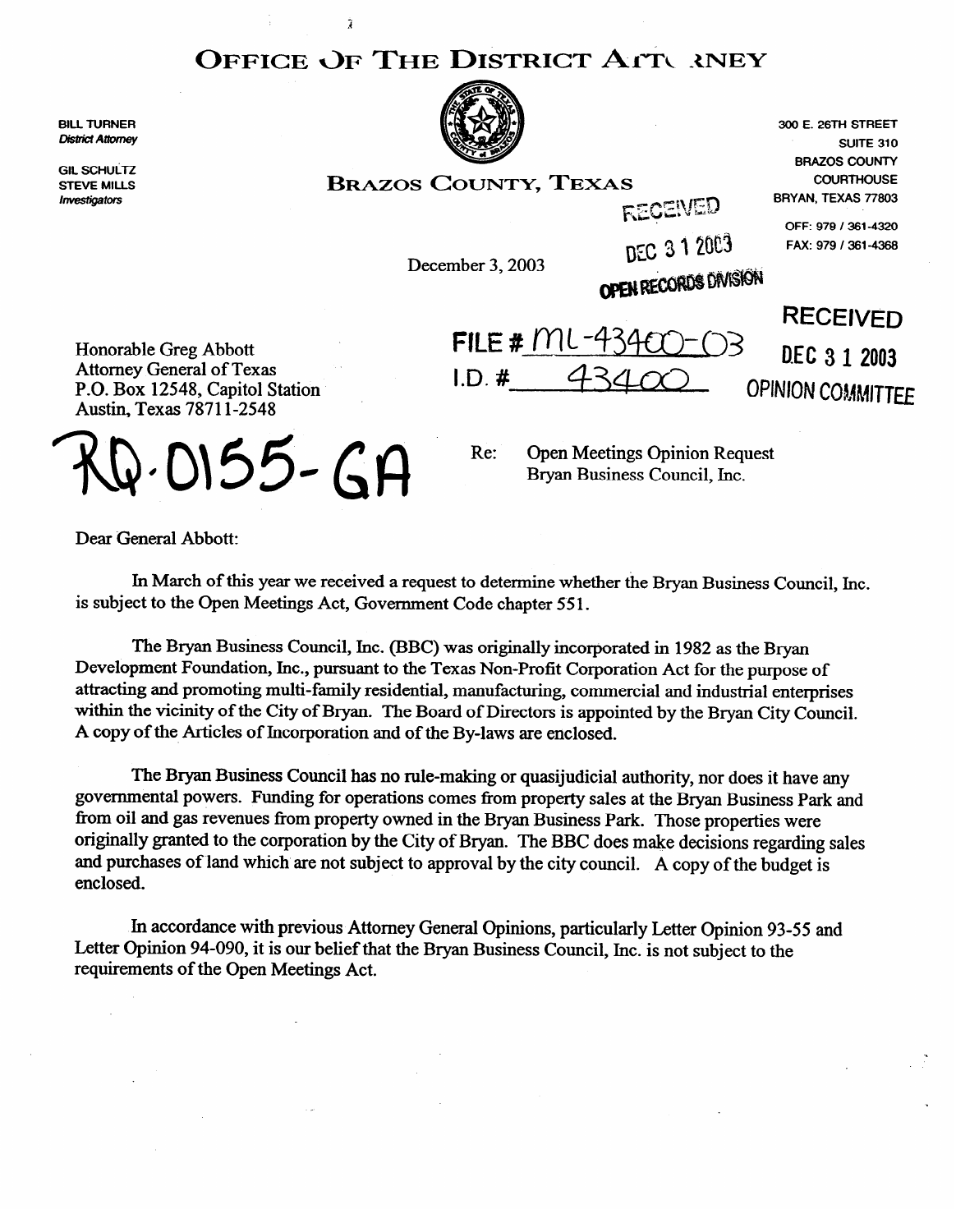## **OFFICE** *OF* THE **DISTRICT** ATT *XNEY*

BILL **TURNER District Attorney** 

GIL SUNULI **STEVE MILLS**  Investigators



**300 E. 26TH STREET SUITE 310 BRAZOS COUNTY BRAZOS COUNTY, TEXAS COUNTHOUSE BRYAN, TEXAS 77603 OFF: 979 / 361-4320** 

D.E.C 3 1 2003

**OPINION COMMITTEE** 

 $LD.$ #

 $FII$  $F#$  $MU$ -4

**DEC 3 1 2003 FAX: 979 / 361-4368 December 3, 2003** 

 $FECEWE$ 

OPEN RECORDS DIVISION **RECEIVED** 

Honorable Greg Abbo Attorney General of Texas P.O. **BOX** 12548, Capitol Station Austin, Texas 7871 l-2548

Ż

Q-0155-GA

Re: **Open Meetings Opinion Request** Bryan Business Council, Inc.

Dear General Abbott:

In March of this year we received a request to determine whether the Bryan Business Council, Inc. is subject to the Open Meetings Act, Government Code chapter 55 1.

The Bryan Business Council, Inc. (BBC) was originally incorporated in 1982 as the Bryan Development Foundation, Inc., pursuant to the Texas Non-Profit Corporation Act for the purpose of attracting and promoting multi-family residential, manufacturing, commercial and industrial enterprises within the vicinity of the City of Bryan. The Board of Directors is appointed by the Bryan City Council. A conv of the Articles of Incorporation and of the By-laws are enclosed  $\mathbf{A}$ 

The Bryan Business Council has no rule-making or quasijudicial authority, nor does it have any governmental powers. Funding for operations comes from property sales at the Bryan Business Park and from oil and gas revenues from property owned in the Bryan Business Park. Those properties were originally granted to the corporation by the City of Bryan. The BBC does make decisions regarding sales and purchases of land which are not subject to approval by the city council  $\Delta$  copy of the budget is  $2 \text{ enclosed.}$ 

In accordance with previous Attorney General Opinions, particularly Letter Opinion 93-55 and Letter Opinion 94-090, it is our belief that the Bryan Business Council, Inc. is not subject to the requirements of the Open Meetings Act.